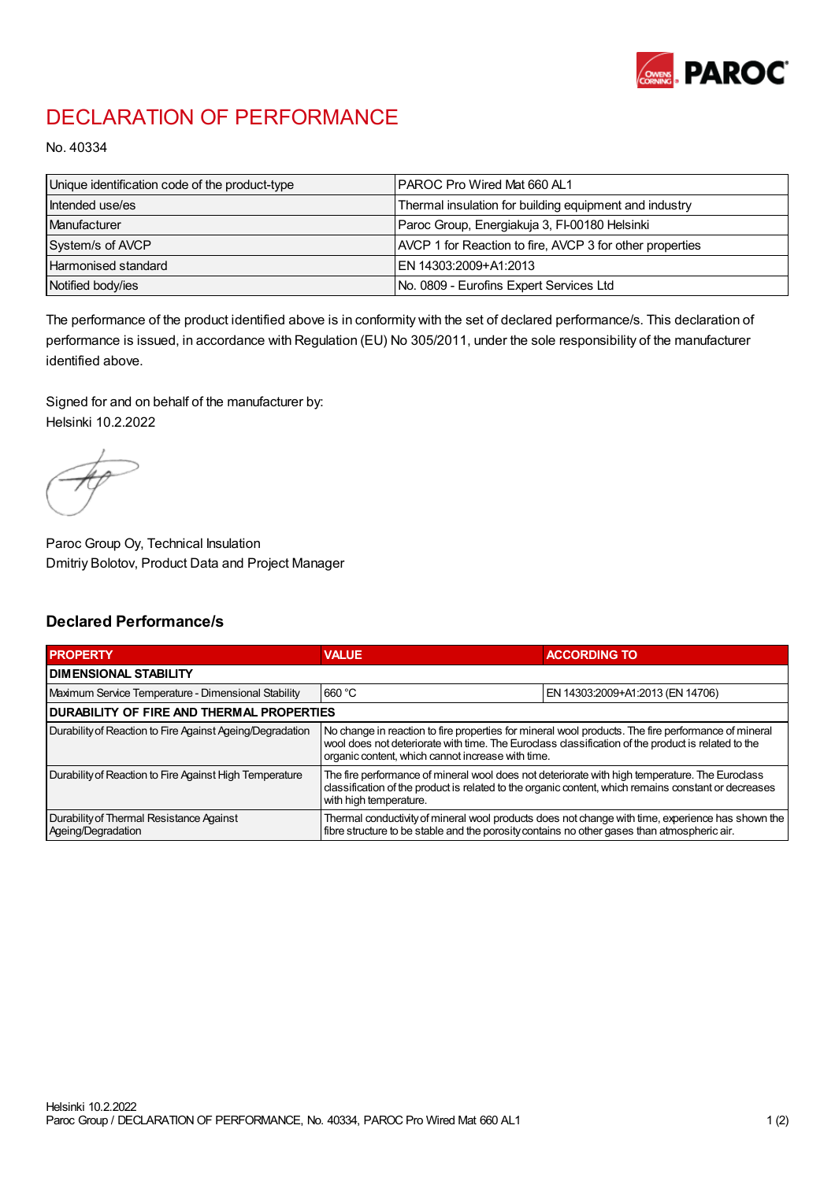

## DECLARATION OF PERFORMANCE

No. 40334

| Unique identification code of the product-type | IPAROC Pro Wired Mat 660 AL1                             |
|------------------------------------------------|----------------------------------------------------------|
| Intended use/es                                | Thermal insulation for building equipment and industry   |
| Manufacturer                                   | Paroc Group, Energiakuja 3, FI-00180 Helsinki            |
| System/s of AVCP                               | AVCP 1 for Reaction to fire, AVCP 3 for other properties |
| Harmonised standard                            | IEN 14303:2009+A1:2013                                   |
| Notified body/ies                              | No. 0809 - Eurofins Expert Services Ltd                  |

The performance of the product identified above is in conformity with the set of declared performance/s. This declaration of performance is issued, in accordance with Regulation (EU) No 305/2011, under the sole responsibility of the manufacturer identified above.

Signed for and on behalf of the manufacturer by: Helsinki 10.2.2022

Paroc Group Oy, Technical Insulation Dmitriy Bolotov, Product Data and Project Manager

## Declared Performance/s

| <b>PROPERTY</b>                                                | <b>VALUE</b>                                                                                                                                                                                                                                                   | <b>ACCORDING TO</b>              |  |
|----------------------------------------------------------------|----------------------------------------------------------------------------------------------------------------------------------------------------------------------------------------------------------------------------------------------------------------|----------------------------------|--|
| <b>DIMENSIONAL STABILITY</b>                                   |                                                                                                                                                                                                                                                                |                                  |  |
| Maximum Service Temperature - Dimensional Stability            | 660 °C                                                                                                                                                                                                                                                         | EN 14303:2009+A1:2013 (EN 14706) |  |
| <b>DURABILITY OF FIRE AND THERMAL PROPERTIES</b>               |                                                                                                                                                                                                                                                                |                                  |  |
| Durability of Reaction to Fire Against Ageing/Degradation      | No change in reaction to fire properties for mineral wool products. The fire performance of mineral<br>wool does not deteriorate with time. The Euroclass classification of the product is related to the<br>organic content, which cannot increase with time. |                                  |  |
| Durability of Reaction to Fire Against High Temperature        | The fire performance of mineral wool does not deteriorate with high temperature. The Euroclass<br>classification of the product is related to the organic content, which remains constant or decreases<br>with high temperature.                               |                                  |  |
| Durability of Thermal Resistance Against<br>Ageing/Degradation | Thermal conductivity of mineral wool products does not change with time, experience has shown the<br>fibre structure to be stable and the porosity contains no other gases than atmospheric air.                                                               |                                  |  |